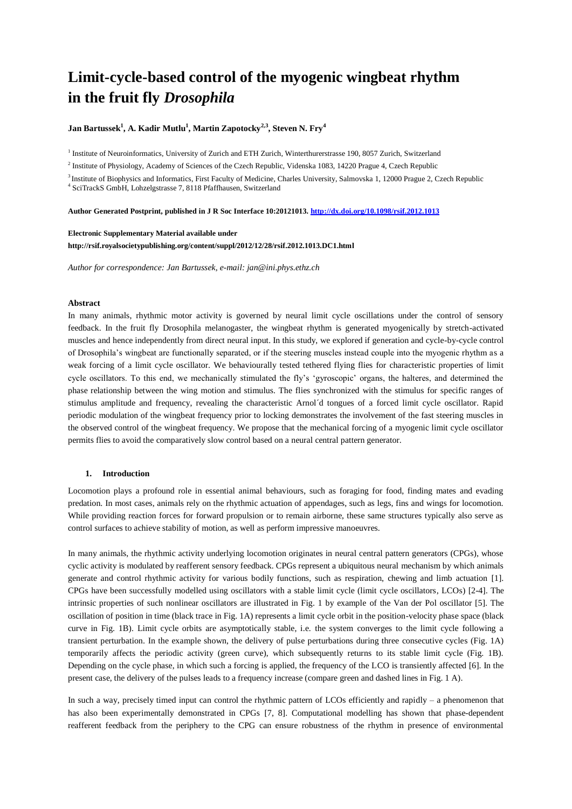# **Limit-cycle-based control of the myogenic wingbeat rhythm in the fruit fly** *Drosophila*

**Jan Bartussek<sup>1</sup> , A. Kadir Mutlu<sup>1</sup> , Martin Zapotocky2,3, Steven N. Fry<sup>4</sup>**

<sup>1</sup> Institute of Neuroinformatics, University of Zurich and ETH Zurich, Winterthurerstrasse 190, 8057 Zurich, Switzerland

<sup>2</sup> Institute of Physiology, Academy of Sciences of the Czech Republic, Videnska 1083, 14220 Prague 4, Czech Republic

<sup>3</sup> Institute of Biophysics and Informatics, First Faculty of Medicine, Charles University, Salmovska 1, 12000 Prague 2, Czech Republic

4 SciTrackS GmbH, Lohzelgstrasse 7, 8118 Pfaffhausen, Switzerland

**Author Generated Postprint, published in J R Soc Interface 10:20121013[. http://dx.doi.org/10.1098/rsif.2012.1013](http://dx.doi.org/10.1098/rsif.2012.1013)**

# **Electronic Supplementary Material available under**

**http://rsif.royalsocietypublishing.org/content/suppl/2012/12/28/rsif.2012.1013.DC1.html**

*Author for correspondence: Jan Bartussek, e-mail: jan@ini.phys.ethz.ch*

# **Abstract**

In many animals, rhythmic motor activity is governed by neural limit cycle oscillations under the control of sensory feedback. In the fruit fly Drosophila melanogaster, the wingbeat rhythm is generated myogenically by stretch-activated muscles and hence independently from direct neural input. In this study, we explored if generation and cycle-by-cycle control of Drosophila's wingbeat are functionally separated, or if the steering muscles instead couple into the myogenic rhythm as a weak forcing of a limit cycle oscillator. We behaviourally tested tethered flying flies for characteristic properties of limit cycle oscillators. To this end, we mechanically stimulated the fly's 'gyroscopic' organs, the halteres, and determined the phase relationship between the wing motion and stimulus. The flies synchronized with the stimulus for specific ranges of stimulus amplitude and frequency, revealing the characteristic Arnol´d tongues of a forced limit cycle oscillator. Rapid periodic modulation of the wingbeat frequency prior to locking demonstrates the involvement of the fast steering muscles in the observed control of the wingbeat frequency. We propose that the mechanical forcing of a myogenic limit cycle oscillator permits flies to avoid the comparatively slow control based on a neural central pattern generator.

# **1. Introduction**

Locomotion plays a profound role in essential animal behaviours, such as foraging for food, finding mates and evading predation. In most cases, animals rely on the rhythmic actuation of appendages, such as legs, fins and wings for locomotion. While providing reaction forces for forward propulsion or to remain airborne, these same structures typically also serve as control surfaces to achieve stability of motion, as well as perform impressive manoeuvres.

In many animals, the rhythmic activity underlying locomotion originates in neural central pattern generators (CPGs), whose cyclic activity is modulated by reafferent sensory feedback. CPGs represent a ubiquitous neural mechanism by which animals generate and control rhythmic activity for various bodily functions, such as respiration, chewing and limb actuation [1]. CPGs have been successfully modelled using oscillators with a stable limit cycle (limit cycle oscillators, LCOs) [2-4]. The intrinsic properties of such nonlinear oscillators are illustrated in Fig. 1 by example of the Van der Pol oscillator [5]. The oscillation of position in time (black trace in Fig. 1A) represents a limit cycle orbit in the position-velocity phase space (black curve in Fig. 1B). Limit cycle orbits are asymptotically stable, i.e. the system converges to the limit cycle following a transient perturbation. In the example shown, the delivery of pulse perturbations during three consecutive cycles (Fig. 1A) temporarily affects the periodic activity (green curve), which subsequently returns to its stable limit cycle (Fig. 1B). Depending on the cycle phase, in which such a forcing is applied, the frequency of the LCO is transiently affected [6]. In the present case, the delivery of the pulses leads to a frequency increase (compare green and dashed lines in Fig. 1 A).

In such a way, precisely timed input can control the rhythmic pattern of LCOs efficiently and rapidly – a phenomenon that has also been experimentally demonstrated in CPGs [7, 8]. Computational modelling has shown that phase-dependent reafferent feedback from the periphery to the CPG can ensure robustness of the rhythm in presence of environmental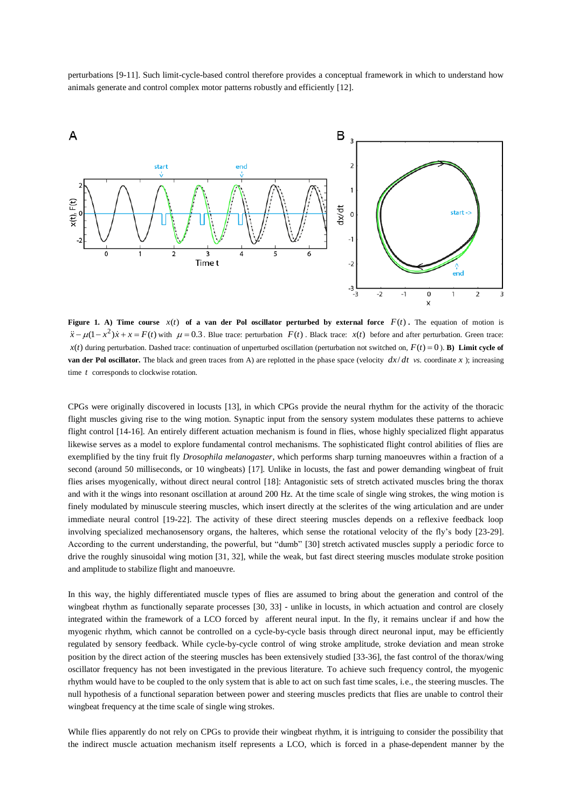perturbations [9-11]. Such limit-cycle-based control therefore provides a conceptual framework in which to understand how animals generate and control complex motor patterns robustly and efficiently [12].



**Figure 1.** A) Time course  $x(t)$  of a van der Pol oscillator perturbed by external force  $F(t)$ . The equation of motion is  $\ddot{x} - \mu(1 - x^2)\dot{x} + x = F(t)$  with  $\mu = 0.3$ . Blue trace: perturbation  $F(t)$ . Black trace:  $x(t)$  before and after perturbation. Green trace:  $x(t)$  during perturbation. Dashed trace: continuation of unperturbed oscillation (perturbation not switched on,  $F(t) = 0$ ). **B)** Limit cycle of **van der Pol oscillator.** The black and green traces from A) are replotted in the phase space (velocity  $dx/dt$  *vs.* coordinate x ); increasing time *t* corresponds to clockwise rotation.

CPGs were originally discovered in locusts [13], in which CPGs provide the neural rhythm for the activity of the thoracic flight muscles giving rise to the wing motion. Synaptic input from the sensory system modulates these patterns to achieve flight control [14-16]. An entirely different actuation mechanism is found in flies, whose highly specialized flight apparatus likewise serves as a model to explore fundamental control mechanisms. The sophisticated flight control abilities of flies are exemplified by the tiny fruit fly *Drosophila melanogaster*, which performs sharp turning manoeuvres within a fraction of a second (around 50 milliseconds, or 10 wingbeats) [17]. Unlike in locusts, the fast and power demanding wingbeat of fruit flies arises myogenically, without direct neural control [18]: Antagonistic sets of stretch activated muscles bring the thorax and with it the wings into resonant oscillation at around 200 Hz. At the time scale of single wing strokes, the wing motion is finely modulated by minuscule steering muscles, which insert directly at the sclerites of the wing articulation and are under immediate neural control [19-22]. The activity of these direct steering muscles depends on a reflexive feedback loop involving specialized mechanosensory organs, the halteres, which sense the rotational velocity of the fly's body [23-29]. According to the current understanding, the powerful, but "dumb" [30] stretch activated muscles supply a periodic force to drive the roughly sinusoidal wing motion [31, 32], while the weak, but fast direct steering muscles modulate stroke position and amplitude to stabilize flight and manoeuvre.

In this way, the highly differentiated muscle types of flies are assumed to bring about the generation and control of the wingbeat rhythm as functionally separate processes [30, 33] - unlike in locusts, in which actuation and control are closely integrated within the framework of a LCO forced by afferent neural input. In the fly, it remains unclear if and how the myogenic rhythm, which cannot be controlled on a cycle-by-cycle basis through direct neuronal input, may be efficiently regulated by sensory feedback. While cycle-by-cycle control of wing stroke amplitude, stroke deviation and mean stroke position by the direct action of the steering muscles has been extensively studied [33-36], the fast control of the thorax/wing oscillator frequency has not been investigated in the previous literature. To achieve such frequency control, the myogenic rhythm would have to be coupled to the only system that is able to act on such fast time scales, i.e., the steering muscles. The null hypothesis of a functional separation between power and steering muscles predicts that flies are unable to control their wingbeat frequency at the time scale of single wing strokes.

While flies apparently do not rely on CPGs to provide their wingbeat rhythm, it is intriguing to consider the possibility that the indirect muscle actuation mechanism itself represents a LCO, which is forced in a phase-dependent manner by the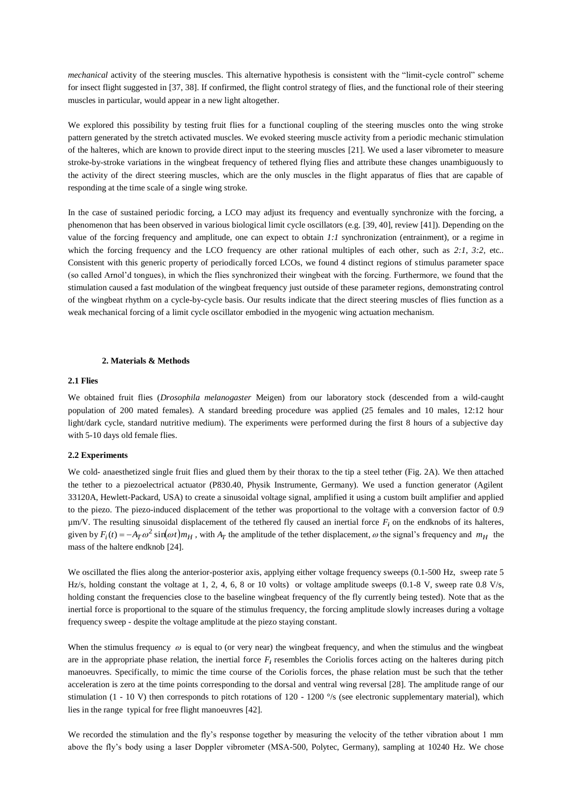*mechanical* activity of the steering muscles. This alternative hypothesis is consistent with the "limit-cycle control" scheme for insect flight suggested in [37, 38]. If confirmed, the flight control strategy of flies, and the functional role of their steering muscles in particular, would appear in a new light altogether.

We explored this possibility by testing fruit flies for a functional coupling of the steering muscles onto the wing stroke pattern generated by the stretch activated muscles. We evoked steering muscle activity from a periodic mechanic stimulation of the halteres, which are known to provide direct input to the steering muscles [21]. We used a laser vibrometer to measure stroke-by-stroke variations in the wingbeat frequency of tethered flying flies and attribute these changes unambiguously to the activity of the direct steering muscles, which are the only muscles in the flight apparatus of flies that are capable of responding at the time scale of a single wing stroke.

In the case of sustained periodic forcing, a LCO may adjust its frequency and eventually synchronize with the forcing, a phenomenon that has been observed in various biological limit cycle oscillators (e.g. [39, 40], review [41]). Depending on the value of the forcing frequency and amplitude, one can expect to obtain *1:1* synchronization (entrainment), or a regime in which the forcing frequency and the LCO frequency are other rational multiples of each other, such as 2:1, 3:2, etc.. Consistent with this generic property of periodically forced LCOs, we found 4 distinct regions of stimulus parameter space (so called Arnol'd tongues), in which the flies synchronized their wingbeat with the forcing. Furthermore, we found that the stimulation caused a fast modulation of the wingbeat frequency just outside of these parameter regions, demonstrating control of the wingbeat rhythm on a cycle-by-cycle basis. Our results indicate that the direct steering muscles of flies function as a weak mechanical forcing of a limit cycle oscillator embodied in the myogenic wing actuation mechanism.

# **2. Materials & Methods**

# **2.1 Flies**

We obtained fruit flies (*Drosophila melanogaster* Meigen) from our laboratory stock (descended from a wild-caught population of 200 mated females). A standard breeding procedure was applied (25 females and 10 males, 12:12 hour light/dark cycle, standard nutritive medium). The experiments were performed during the first 8 hours of a subjective day with 5-10 days old female flies.

# **2.2 Experiments**

We cold- anaesthetized single fruit flies and glued them by their thorax to the tip a steel tether (Fig. 2A). We then attached the tether to a piezoelectrical actuator (P830.40, Physik Instrumente, Germany). We used a function generator (Agilent 33120A, Hewlett-Packard, USA) to create a sinusoidal voltage signal, amplified it using a custom built amplifier and applied to the piezo. The piezo-induced displacement of the tether was proportional to the voltage with a conversion factor of 0.9  $\mu$ m/V. The resulting sinusoidal displacement of the tethered fly caused an inertial force  $F_i$  on the endknobs of its halteres, given by  $F_i(t) = -A_T \omega^2 \sin(\omega t) m_H$ , with  $A_T$  the amplitude of the tether displacement,  $\omega$  the signal's frequency and  $m_H$  the mass of the haltere endknob [24].

We oscillated the flies along the anterior-posterior axis, applying either voltage frequency sweeps (0.1-500 Hz, sweep rate 5 Hz/s, holding constant the voltage at 1, 2, 4, 6, 8 or 10 volts) or voltage amplitude sweeps (0.1-8 V, sweep rate 0.8 V/s, holding constant the frequencies close to the baseline wingbeat frequency of the fly currently being tested). Note that as the inertial force is proportional to the square of the stimulus frequency, the forcing amplitude slowly increases during a voltage frequency sweep - despite the voltage amplitude at the piezo staying constant.

When the stimulus frequency  $\omega$  is equal to (or very near) the wingbeat frequency, and when the stimulus and the wingbeat are in the appropriate phase relation, the inertial force  $F_i$  resembles the Coriolis forces acting on the halteres during pitch manoeuvres. Specifically, to mimic the time course of the Coriolis forces, the phase relation must be such that the tether acceleration is zero at the time points corresponding to the dorsal and ventral wing reversal [28]. The amplitude range of our stimulation (1 - 10 V) then corresponds to pitch rotations of 120 - 1200 °/s (see electronic supplementary material), which lies in the range typical for free flight manoeuvres [42].

We recorded the stimulation and the fly's response together by measuring the velocity of the tether vibration about 1 mm above the fly's body using a laser Doppler vibrometer (MSA-500, Polytec, Germany), sampling at 10240 Hz. We chose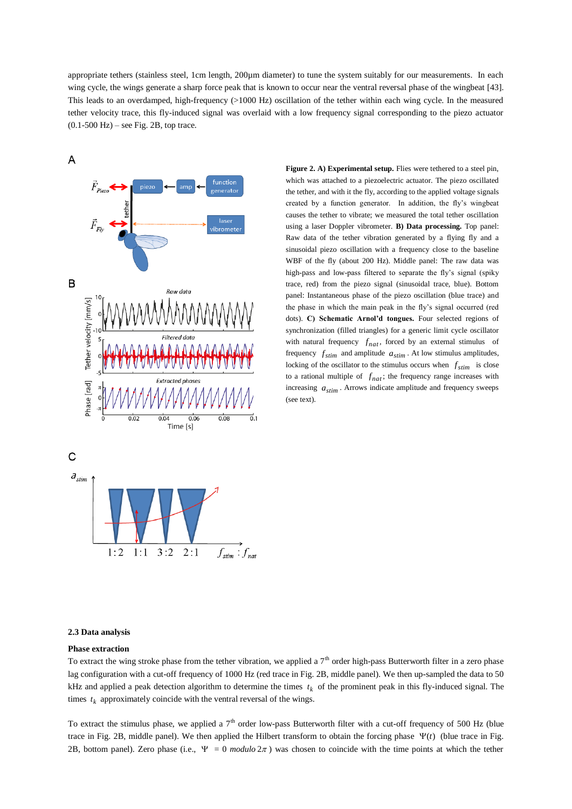appropriate tethers (stainless steel, 1cm length, 200µm diameter) to tune the system suitably for our measurements. In each wing cycle, the wings generate a sharp force peak that is known to occur near the ventral reversal phase of the wingbeat [43]. This leads to an overdamped, high-frequency (>1000 Hz) oscillation of the tether within each wing cycle. In the measured tether velocity trace, this fly-induced signal was overlaid with a low frequency signal corresponding to the piezo actuator  $(0.1-500$  Hz $)$  – see Fig. 2B, top trace.

 $\overline{A}$ function **zenerato** B Raw data Tether velocity [mm/s] Phase [rad]  $\frac{1}{0.08}$ Time [s] C

 $2:1$ 

 $3:2$ 

**Figure 2. A) Experimental setup.** Flies were tethered to a steel pin, which was attached to a piezoelectric actuator. The piezo oscillated the tether, and with it the fly, according to the applied voltage signals created by a function generator. In addition, the fly's wingbeat causes the tether to vibrate; we measured the total tether oscillation using a laser Doppler vibrometer. **B) Data processing.** Top panel: Raw data of the tether vibration generated by a flying fly and a sinusoidal piezo oscillation with a frequency close to the baseline WBF of the fly (about 200 Hz). Middle panel: The raw data was high-pass and low-pass filtered to separate the fly's signal (spiky trace, red) from the piezo signal (sinusoidal trace, blue). Bottom panel: Instantaneous phase of the piezo oscillation (blue trace) and the phase in which the main peak in the fly's signal occurred (red dots). **C) Schematic Arnol'd tongues.** Four selected regions of synchronization (filled triangles) for a generic limit cycle oscillator with natural frequency  $f_{nat}$ , forced by an external stimulus of frequency  $f_{stim}$  and amplitude  $a_{stim}$ . At low stimulus amplitudes, locking of the oscillator to the stimulus occurs when  $f_{stim}$  is close to a rational multiple of  $f_{nat}$ ; the frequency range increases with increasing  $a_{stim}$ . Arrows indicate amplitude and frequency sweeps (see text).

#### **2.3 Data analysis**

 $1:2$ 

 $1:1$ 

 $a_{\text{stim}}$ 

# **Phase extraction**

To extract the wing stroke phase from the tether vibration, we applied a  $7<sup>th</sup>$  order high-pass Butterworth filter in a zero phase lag configuration with a cut-off frequency of 1000 Hz (red trace in Fig. 2B, middle panel). We then up-sampled the data to 50 kHz and applied a peak detection algorithm to determine the times  $t_k$  of the prominent peak in this fly-induced signal. The times  $t_k$  approximately coincide with the ventral reversal of the wings.

 $\vec{0}.1$ 

 $f_{\text{stim}}$ :  $f_{\text{nat}}$ 

To extract the stimulus phase, we applied a  $7<sup>th</sup>$  order low-pass Butterworth filter with a cut-off frequency of 500 Hz (blue trace in Fig. 2B, middle panel). We then applied the Hilbert transform to obtain the forcing phase  $\Psi(t)$  (blue trace in Fig. 2B, bottom panel). Zero phase (i.e.,  $\Psi = 0$  modulo  $2\pi$ ) was chosen to coincide with the time points at which the tether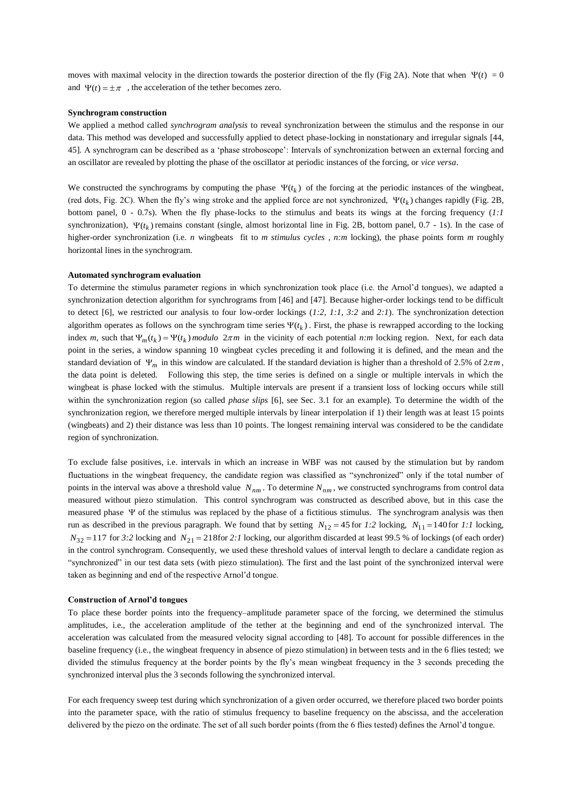moves with maximal velocity in the direction towards the posterior direction of the fly (Fig 2A). Note that when  $\Psi(t) = 0$ and  $\Psi(t) = \pm \pi$ , the acceleration of the tether becomes zero.

# **Synchrogram construction**

We applied a method called *synchrogram analysis* to reveal synchronization between the stimulus and the response in our data. This method was developed and successfully applied to detect phase-locking in nonstationary and irregular signals [44, 45]*.* A synchrogram can be described as a 'phase stroboscope': Intervals of synchronization between an external forcing and an oscillator are revealed by plotting the phase of the oscillator at periodic instances of the forcing, or *vice versa*.

We constructed the synchrograms by computing the phase  $\Psi(t_k)$  of the forcing at the periodic instances of the wingbeat, (red dots, Fig. 2C). When the fly's wing stroke and the applied force are not synchronized,  $\Psi(t_k)$  changes rapidly (Fig. 2B, bottom panel, 0 - 0.7s). When the fly phase-locks to the stimulus and beats its wings at the forcing frequency (*1:1* synchronization),  $\Psi(t_k)$  remains constant (single, almost horizontal line in Fig. 2B, bottom panel, 0.7 - 1s). In the case of higher-order synchronization (i.e. *n* wingbeats fit to *m stimulus cycles*, *n:m* locking), the phase points form *m* roughly horizontal lines in the synchrogram.

#### **Automated synchrogram evaluation**

To determine the stimulus parameter regions in which synchronization took place (i.e. the Arnol'd tongues), we adapted a synchronization detection algorithm for synchrograms from [46] and [47]. Because higher-order lockings tend to be difficult to detect [6], we restricted our analysis to four low-order lockings (*1:2*, *1:1*, *3:2* and *2:1*). The synchronization detection algorithm operates as follows on the synchrogram time series  $\Psi(t_k)$ . First, the phase is rewrapped according to the locking index *m*, such that  $\Psi_m(t_k) = \Psi(t_k)$  *modulo*  $2\pi m$  in the vicinity of each potential *n:m* locking region. Next, for each data point in the series, a window spanning 10 wingbeat cycles preceding it and following it is defined, and the mean and the standard deviation of  $\Psi_m$  in this window are calculated. If the standard deviation is higher than a threshold of 2.5% of  $2\pi m$ , the data point is deleted. Following this step, the time series is defined on a single or multiple intervals in which the wingbeat is phase locked with the stimulus. Multiple intervals are present if a transient loss of locking occurs while still within the synchronization region (so called *phase slips* [6], see Sec. 3.1 for an example). To determine the width of the synchronization region, we therefore merged multiple intervals by linear interpolation if 1) their length was at least 15 points (wingbeats) and 2) their distance was less than 10 points. The longest remaining interval was considered to be the candidate region of synchronization.

To exclude false positives, i.e. intervals in which an increase in WBF was not caused by the stimulation but by random fluctuations in the wingbeat frequency, the candidate region was classified as "synchronized" only if the total number of points in the interval was above a threshold value *Nnm* . To determine *Nnm* , we constructed synchrograms from control data measured without piezo stimulation. This control synchrogram was constructed as described above, but in this case the measured phase Y of the stimulus was replaced by the phase of a fictitious stimulus. The synchrogram analysis was then run as described in the previous paragraph. We found that by setting  $N_{12} = 45$  for 1:2 locking,  $N_{11} = 140$  for 1:1 locking,  $N_{32} = 117$  for 3:2 locking and  $N_{21} = 218$  for 2:1 locking, our algorithm discarded at least 99.5 % of lockings (of each order) in the control synchrogram. Consequently, we used these threshold values of interval length to declare a candidate region as "synchronized" in our test data sets (with piezo stimulation). The first and the last point of the synchronized interval were taken as beginning and end of the respective Arnol'd tongue.

#### **Construction of Arnol'd tongues**

To place these border points into the frequency–amplitude parameter space of the forcing, we determined the stimulus amplitudes, i.e., the acceleration amplitude of the tether at the beginning and end of the synchronized interval. The acceleration was calculated from the measured velocity signal according to [48]. To account for possible differences in the baseline frequency (i.e., the wingbeat frequency in absence of piezo stimulation) in between tests and in the 6 flies tested; we divided the stimulus frequency at the border points by the fly's mean wingbeat frequency in the 3 seconds preceding the synchronized interval plus the 3 seconds following the synchronized interval.

For each frequency sweep test during which synchronization of a given order occurred, we therefore placed two border points into the parameter space, with the ratio of stimulus frequency to baseline frequency on the abscissa, and the acceleration delivered by the piezo on the ordinate. The set of all such border points (from the 6 flies tested) defines the Arnol'd tongue.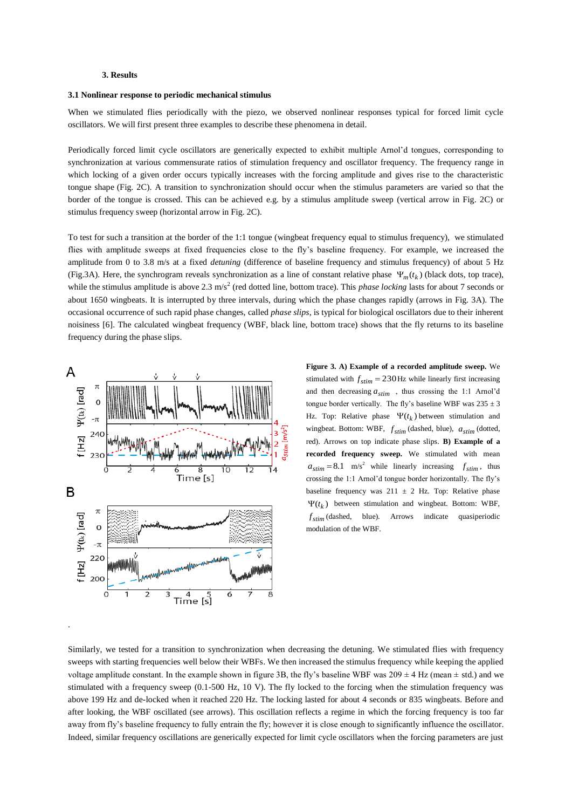## **3. Results**

## **3.1 Nonlinear response to periodic mechanical stimulus**

When we stimulated flies periodically with the piezo, we observed nonlinear responses typical for forced limit cycle oscillators. We will first present three examples to describe these phenomena in detail.

Periodically forced limit cycle oscillators are generically expected to exhibit multiple Arnol'd tongues, corresponding to synchronization at various commensurate ratios of stimulation frequency and oscillator frequency. The frequency range in which locking of a given order occurs typically increases with the forcing amplitude and gives rise to the characteristic tongue shape (Fig. 2C). A transition to synchronization should occur when the stimulus parameters are varied so that the border of the tongue is crossed. This can be achieved e.g. by a stimulus amplitude sweep (vertical arrow in Fig. 2C) or stimulus frequency sweep (horizontal arrow in Fig. 2C).

To test for such a transition at the border of the 1:1 tongue (wingbeat frequency equal to stimulus frequency), we stimulated flies with amplitude sweeps at fixed frequencies close to the fly's baseline frequency. For example, we increased the amplitude from 0 to 3.8 m/s at a fixed *detuning* (difference of baseline frequency and stimulus frequency) of about 5 Hz (Fig.3A). Here, the synchrogram reveals synchronization as a line of constant relative phase  $\Psi_m(t_k)$  (black dots, top trace), while the stimulus amplitude is above 2.3 m/s<sup>2</sup> (red dotted line, bottom trace). This *phase locking* lasts for about 7 seconds or about 1650 wingbeats. It is interrupted by three intervals, during which the phase changes rapidly (arrows in Fig. 3A). The occasional occurrence of such rapid phase changes, called *phase slips*, is typical for biological oscillators due to their inherent noisiness [6]. The calculated wingbeat frequency (WBF, black line, bottom trace) shows that the fly returns to its baseline frequency during the phase slips.



.

**Figure 3. A) Example of a recorded amplitude sweep.** We stimulated with  $f_{stim} = 230$  Hz while linearly first increasing and then decreasing  $a_{stim}$ , thus crossing the 1:1 Arnol'd tongue border vertically. The fly's baseline WBF was  $235 \pm 3$ Hz. Top: Relative phase  $\Psi(t_k)$  between stimulation and wingbeat. Bottom: WBF, *f stim* (dashed, blue), *<sup>a</sup>stim* (dotted, red). Arrows on top indicate phase slips. **B) Example of a recorded frequency sweep.** We stimulated with mean  $a_{stim} = 8.1 \text{ m/s}^2$  while linearly increasing  $f_{stim}$ , thus crossing the 1:1 Arnol'd tongue border horizontally. The fly's baseline frequency was  $211 \pm 2$  Hz. Top: Relative phase  $\Psi(t_k)$  between stimulation and wingbeat. Bottom: WBF, *f stim* (dashed, blue). Arrows indicate quasiperiodic modulation of the WBF.

Similarly, we tested for a transition to synchronization when decreasing the detuning. We stimulated flies with frequency sweeps with starting frequencies well below their WBFs. We then increased the stimulus frequency while keeping the applied voltage amplitude constant. In the example shown in figure 3B, the fly's baseline WBF was  $209 \pm 4$  Hz (mean  $\pm$  std.) and we stimulated with a frequency sweep (0.1-500 Hz, 10 V). The fly locked to the forcing when the stimulation frequency was above 199 Hz and de-locked when it reached 220 Hz. The locking lasted for about 4 seconds or 835 wingbeats. Before and after looking, the WBF oscillated (see arrows). This oscillation reflects a regime in which the forcing frequency is too far away from fly's baseline frequency to fully entrain the fly; however it is close enough to significantly influence the oscillator. Indeed, similar frequency oscillations are generically expected for limit cycle oscillators when the forcing parameters are just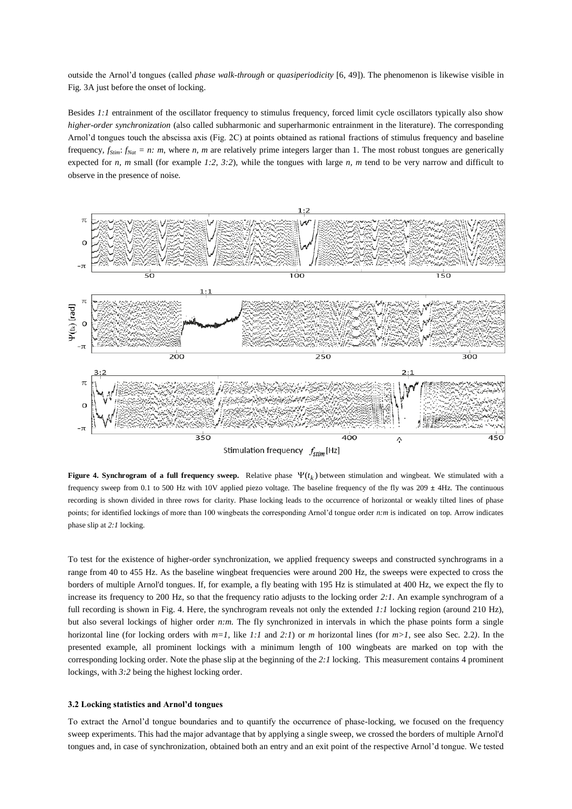outside the Arnol'd tongues (called *phase walk-through* or *quasiperiodicity* [6, 49]). The phenomenon is likewise visible in Fig. 3A just before the onset of locking.

Besides *1:1* entrainment of the oscillator frequency to stimulus frequency, forced limit cycle oscillators typically also show *higher-order synchronization* (also called subharmonic and superharmonic entrainment in the literature). The corresponding Arnol'd tongues touch the abscissa axis (Fig. 2C) at points obtained as rational fractions of stimulus frequency and baseline frequency,  $f_{Slim}$ :  $f_{Nat} = n$ : *m*, where *n, m* are relatively prime integers larger than 1. The most robust tongues are generically expected for *n, m* small (for example *1:2*, *3:2*), while the tongues with large *n, m* tend to be very narrow and difficult to observe in the presence of noise.



**Figure 4. Synchrogram of a full frequency sweep.** Relative phase  $\Psi(t_k)$  between stimulation and wingbeat. We stimulated with a frequency sweep from 0.1 to 500 Hz with 10V applied piezo voltage. The baseline frequency of the fly was 209 **±** 4Hz. The continuous recording is shown divided in three rows for clarity. Phase locking leads to the occurrence of horizontal or weakly tilted lines of phase points; for identified lockings of more than 100 wingbeats the corresponding Arnol'd tongue order *n:m* is indicated on top. Arrow indicates phase slip at *2:1* locking.

To test for the existence of higher-order synchronization, we applied frequency sweeps and constructed synchrograms in a range from 40 to 455 Hz. As the baseline wingbeat frequencies were around 200 Hz, the sweeps were expected to cross the borders of multiple Arnol'd tongues. If, for example, a fly beating with 195 Hz is stimulated at 400 Hz, we expect the fly to increase its frequency to 200 Hz, so that the frequency ratio adjusts to the locking order *2:1*. An example synchrogram of a full recording is shown in Fig. 4. Here, the synchrogram reveals not only the extended 1:1 locking region (around 210 Hz), but also several lockings of higher order *n:m*. The fly synchronized in intervals in which the phase points form a single horizontal line (for locking orders with *m=1*, like *1:1* and *2:1*) or *m* horizontal lines (for *m>1*, see also Sec. 2.2*)*. In the presented example, all prominent lockings with a minimum length of 100 wingbeats are marked on top with the corresponding locking order. Note the phase slip at the beginning of the *2:1* locking. This measurement contains 4 prominent lockings, with *3:2* being the highest locking order.

# **3.2 Locking statistics and Arnol'd tongues**

To extract the Arnol'd tongue boundaries and to quantify the occurrence of phase-locking, we focused on the frequency sweep experiments. This had the major advantage that by applying a single sweep, we crossed the borders of multiple Arnol'd tongues and, in case of synchronization, obtained both an entry and an exit point of the respective Arnol'd tongue. We tested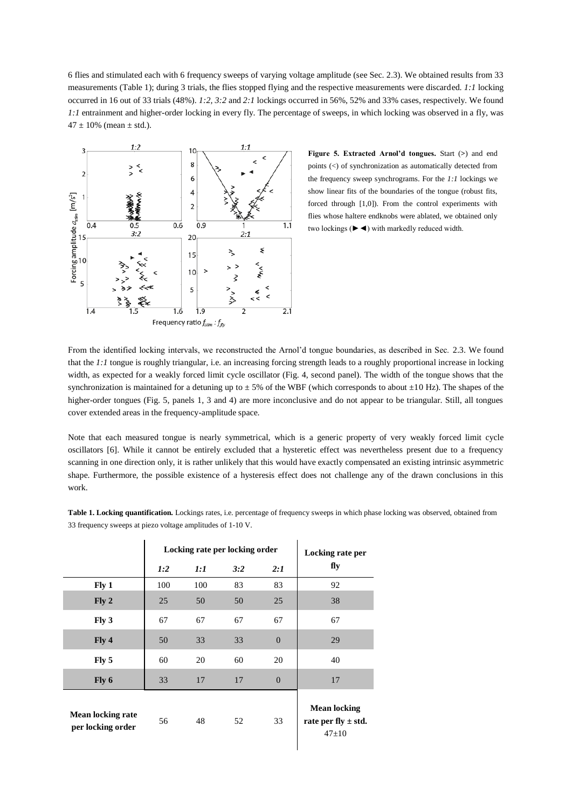6 flies and stimulated each with 6 frequency sweeps of varying voltage amplitude (see Sec. 2.3). We obtained results from 33 measurements (Table 1); during 3 trials, the flies stopped flying and the respective measurements were discarded. *1:1* locking occurred in 16 out of 33 trials (48%). *1:2, 3:2* and *2:1* lockings occurred in 56%, 52% and 33% cases, respectively. We found *1:1* entrainment and higher-order locking in every fly. The percentage of sweeps, in which locking was observed in a fly, was  $47 \pm 10\%$  (mean  $\pm$  std.).



**Figure 5. Extracted Arnol'd tongues.** Start (**>**) and end points (<) of synchronization as automatically detected from the frequency sweep synchrograms. For the *1:1* lockings we show linear fits of the boundaries of the tongue (robust fits, forced through [1,0]). From the control experiments with flies whose haltere endknobs were ablated, we obtained only two lockings (►◄) with markedly reduced width.

From the identified locking intervals, we reconstructed the Arnol'd tongue boundaries, as described in Sec. 2.3. We found that the *1:1* tongue is roughly triangular, i.e. an increasing forcing strength leads to a roughly proportional increase in locking width, as expected for a weakly forced limit cycle oscillator (Fig. 4, second panel). The width of the tongue shows that the synchronization is maintained for a detuning up to  $\pm 5\%$  of the WBF (which corresponds to about  $\pm 10$  Hz). The shapes of the higher-order tongues (Fig. 5, panels 1, 3 and 4) are more inconclusive and do not appear to be triangular. Still, all tongues cover extended areas in the frequency-amplitude space.

Note that each measured tongue is nearly symmetrical, which is a generic property of very weakly forced limit cycle oscillators [6]. While it cannot be entirely excluded that a hysteretic effect was nevertheless present due to a frequency scanning in one direction only, it is rather unlikely that this would have exactly compensated an existing intrinsic asymmetric shape. Furthermore, the possible existence of a hysteresis effect does not challenge any of the drawn conclusions in this work.

**Table 1. Locking quantification.** Lockings rates, i.e. percentage of frequency sweeps in which phase locking was observed, obtained from 33 frequency sweeps at piezo voltage amplitudes of 1-10 V.

|                                               | Locking rate per locking order |     |     |                | Locking rate per                                          |
|-----------------------------------------------|--------------------------------|-----|-----|----------------|-----------------------------------------------------------|
|                                               | 1:2                            | 1:1 | 3:2 | 2:1            | fly                                                       |
| Fly 1                                         | 100                            | 100 | 83  | 83             | 92                                                        |
| Fly <sub>2</sub>                              | 25                             | 50  | 50  | 25             | 38                                                        |
| Fly 3                                         | 67                             | 67  | 67  | 67             | 67                                                        |
| Fly 4                                         | 50                             | 33  | 33  | $\overline{0}$ | 29                                                        |
| Fly 5                                         | 60                             | 20  | 60  | 20             | 40                                                        |
| Fly 6                                         | 33                             | 17  | 17  | $\overline{0}$ | 17                                                        |
| <b>Mean locking rate</b><br>per locking order | 56                             | 48  | 52  | 33             | <b>Mean locking</b><br>rate per fly $\pm$ std.<br>$47+10$ |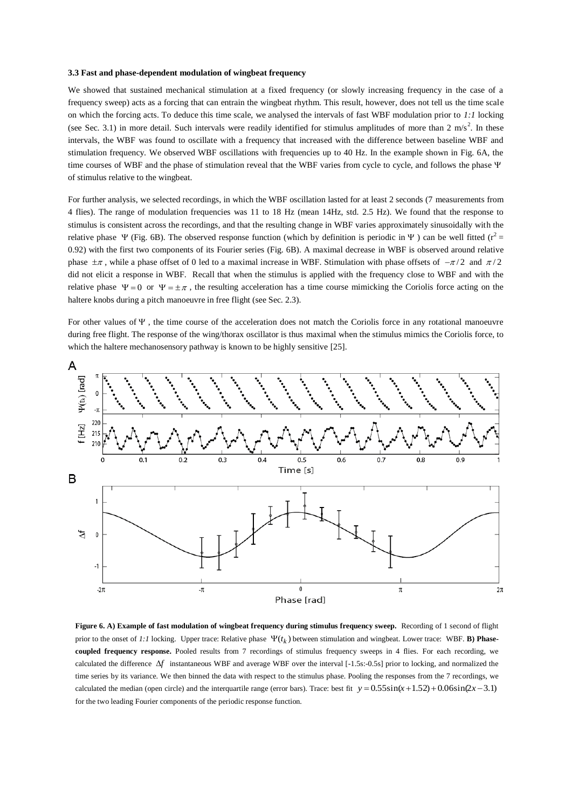# **3.3 Fast and phase-dependent modulation of wingbeat frequency**

We showed that sustained mechanical stimulation at a fixed frequency (or slowly increasing frequency in the case of a frequency sweep) acts as a forcing that can entrain the wingbeat rhythm. This result, however, does not tell us the time scale on which the forcing acts. To deduce this time scale, we analysed the intervals of fast WBF modulation prior to *1:1* locking (see Sec. 3.1) in more detail. Such intervals were readily identified for stimulus amplitudes of more than  $2 \text{ m/s}^2$ . In these intervals, the WBF was found to oscillate with a frequency that increased with the difference between baseline WBF and stimulation frequency. We observed WBF oscillations with frequencies up to 40 Hz. In the example shown in Fig. 6A, the time courses of WBF and the phase of stimulation reveal that the WBF varies from cycle to cycle, and follows the phase  $\Psi$ of stimulus relative to the wingbeat.

For further analysis, we selected recordings, in which the WBF oscillation lasted for at least 2 seconds (7 measurements from 4 flies). The range of modulation frequencies was 11 to 18 Hz (mean 14Hz, std. 2.5 Hz). We found that the response to stimulus is consistent across the recordings, and that the resulting change in WBF varies approximately sinusoidally with the relative phase  $\Psi$  (Fig. 6B). The observed response function (which by definition is periodic in  $\Psi$ ) can be well fitted ( $r^2 =$ 0.92) with the first two components of its Fourier series (Fig. 6B). A maximal decrease in WBF is observed around relative phase  $\pm \pi$ , while a phase offset of 0 led to a maximal increase in WBF. Stimulation with phase offsets of  $-\pi/2$  and  $\pi/2$ did not elicit a response in WBF. Recall that when the stimulus is applied with the frequency close to WBF and with the relative phase  $\Psi = 0$  or  $\Psi = \pm \pi$ , the resulting acceleration has a time course mimicking the Coriolis force acting on the haltere knobs during a pitch manoeuvre in free flight (see Sec. 2.3).

For other values of  $\Psi$ , the time course of the acceleration does not match the Coriolis force in any rotational manoeuvre during free flight. The response of the wing/thorax oscillator is thus maximal when the stimulus mimics the Coriolis force, to which the haltere mechanosensory pathway is known to be highly sensitive [25].



**Figure 6. A) Example of fast modulation of wingbeat frequency during stimulus frequency sweep.** Recording of 1 second of flight prior to the onset of 1:1 locking. Upper trace: Relative phase  $\Psi(t_k)$  between stimulation and wingbeat. Lower trace: WBF. **B) Phasecoupled frequency response.** Pooled results from 7 recordings of stimulus frequency sweeps in 4 flies. For each recording, we calculated the difference  $\Delta f$  instantaneous WBF and average WBF over the interval  $[-1.5s:-0.5s]$  prior to locking, and normalized the time series by its variance. We then binned the data with respect to the stimulus phase. Pooling the responses from the 7 recordings, we calculated the median (open circle) and the interquartile range (error bars). Trace: best fit  $y = 0.55\sin(x + 1.52) + 0.06\sin(2x - 3.1)$ for the two leading Fourier components of the periodic response function.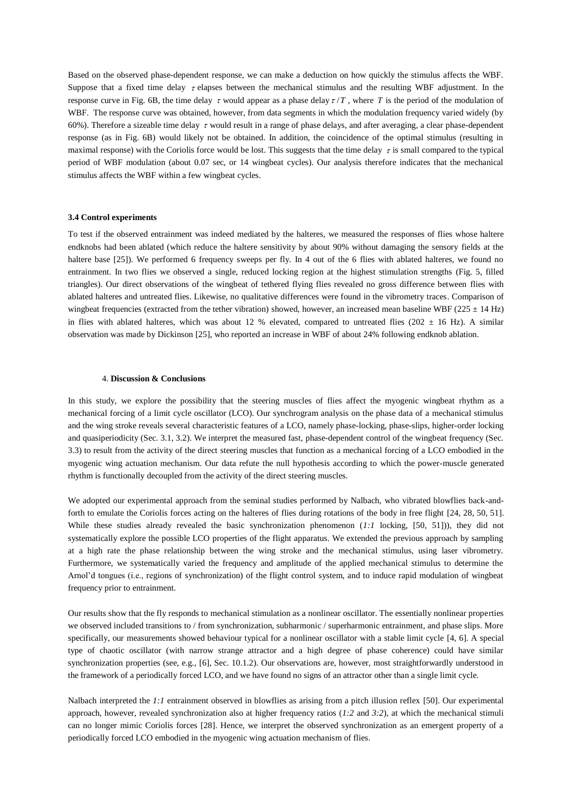Based on the observed phase-dependent response, we can make a deduction on how quickly the stimulus affects the WBF. Suppose that a fixed time delay  $\tau$  elapses between the mechanical stimulus and the resulting WBF adjustment. In the response curve in Fig. 6B, the time delay  $\tau$  would appear as a phase delay  $\tau/T$ , where T is the period of the modulation of WBF. The response curve was obtained, however, from data segments in which the modulation frequency varied widely (by 60%). Therefore a sizeable time delay  $\tau$  would result in a range of phase delays, and after averaging, a clear phase-dependent response (as in Fig. 6B) would likely not be obtained. In addition, the coincidence of the optimal stimulus (resulting in maximal response) with the Coriolis force would be lost. This suggests that the time delay  $\tau$  is small compared to the typical period of WBF modulation (about 0.07 sec, or 14 wingbeat cycles). Our analysis therefore indicates that the mechanical stimulus affects the WBF within a few wingbeat cycles.

## **3.4 Control experiments**

To test if the observed entrainment was indeed mediated by the halteres, we measured the responses of flies whose haltere endknobs had been ablated (which reduce the haltere sensitivity by about 90% without damaging the sensory fields at the haltere base [25]). We performed 6 frequency sweeps per fly. In 4 out of the 6 flies with ablated halteres, we found no entrainment. In two flies we observed a single, reduced locking region at the highest stimulation strengths (Fig. 5, filled triangles). Our direct observations of the wingbeat of tethered flying flies revealed no gross difference between flies with ablated halteres and untreated flies. Likewise, no qualitative differences were found in the vibrometry traces. Comparison of wingbeat frequencies (extracted from the tether vibration) showed, however, an increased mean baseline WBF ( $225 \pm 14$  Hz) in flies with ablated halteres, which was about 12 % elevated, compared to untreated flies (202  $\pm$  16 Hz). A similar observation was made by Dickinson [25], who reported an increase in WBF of about 24% following endknob ablation.

# 4. **Discussion & Conclusions**

In this study, we explore the possibility that the steering muscles of flies affect the myogenic wingbeat rhythm as a mechanical forcing of a limit cycle oscillator (LCO). Our synchrogram analysis on the phase data of a mechanical stimulus and the wing stroke reveals several characteristic features of a LCO, namely phase-locking, phase-slips, higher-order locking and quasiperiodicity (Sec. 3.1, 3.2). We interpret the measured fast, phase-dependent control of the wingbeat frequency (Sec. 3.3) to result from the activity of the direct steering muscles that function as a mechanical forcing of a LCO embodied in the myogenic wing actuation mechanism. Our data refute the null hypothesis according to which the power-muscle generated rhythm is functionally decoupled from the activity of the direct steering muscles.

We adopted our experimental approach from the seminal studies performed by Nalbach, who vibrated blowflies back-andforth to emulate the Coriolis forces acting on the halteres of flies during rotations of the body in free flight [24, 28, 50, 51]. While these studies already revealed the basic synchronization phenomenon (*1:1* locking, [50, 51])), they did not systematically explore the possible LCO properties of the flight apparatus. We extended the previous approach by sampling at a high rate the phase relationship between the wing stroke and the mechanical stimulus, using laser vibrometry. Furthermore, we systematically varied the frequency and amplitude of the applied mechanical stimulus to determine the Arnol'd tongues (i.e., regions of synchronization) of the flight control system, and to induce rapid modulation of wingbeat frequency prior to entrainment.

Our results show that the fly responds to mechanical stimulation as a nonlinear oscillator. The essentially nonlinear properties we observed included transitions to / from synchronization, subharmonic / superharmonic entrainment, and phase slips. More specifically, our measurements showed behaviour typical for a nonlinear oscillator with a stable limit cycle [4, 6]. A special type of chaotic oscillator (with narrow strange attractor and a high degree of phase coherence) could have similar synchronization properties (see, e.g., [6], Sec. 10.1.2). Our observations are, however, most straightforwardly understood in the framework of a periodically forced LCO, and we have found no signs of an attractor other than a single limit cycle.

Nalbach interpreted the *1:1* entrainment observed in blowflies as arising from a pitch illusion reflex [50]. Our experimental approach, however, revealed synchronization also at higher frequency ratios (*1:2* and *3:2*), at which the mechanical stimuli can no longer mimic Coriolis forces [28]. Hence, we interpret the observed synchronization as an emergent property of a periodically forced LCO embodied in the myogenic wing actuation mechanism of flies.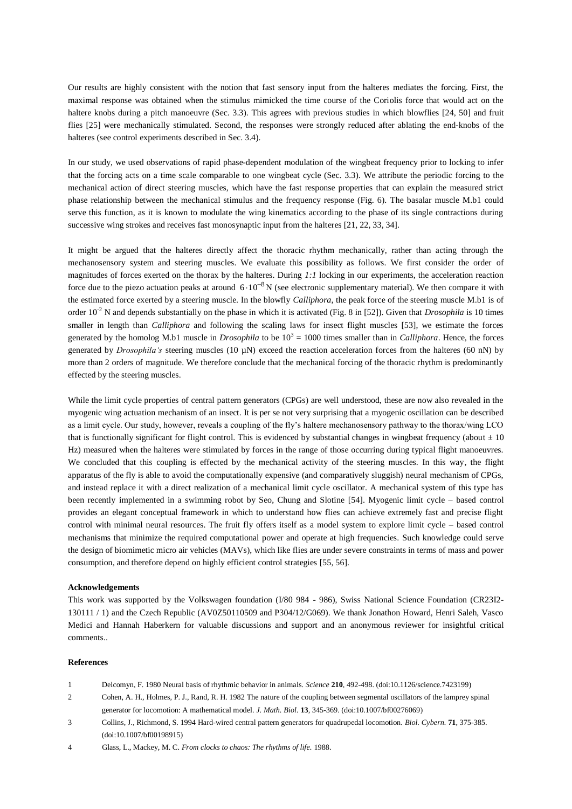Our results are highly consistent with the notion that fast sensory input from the halteres mediates the forcing. First, the maximal response was obtained when the stimulus mimicked the time course of the Coriolis force that would act on the haltere knobs during a pitch manoeuvre (Sec. 3.3). This agrees with previous studies in which blowflies [24, 50] and fruit flies [25] were mechanically stimulated. Second, the responses were strongly reduced after ablating the end-knobs of the halteres (see control experiments described in Sec. 3.4).

In our study, we used observations of rapid phase-dependent modulation of the wingbeat frequency prior to locking to infer that the forcing acts on a time scale comparable to one wingbeat cycle (Sec. 3.3). We attribute the periodic forcing to the mechanical action of direct steering muscles, which have the fast response properties that can explain the measured strict phase relationship between the mechanical stimulus and the frequency response (Fig. 6). The basalar muscle M.b1 could serve this function, as it is known to modulate the wing kinematics according to the phase of its single contractions during successive wing strokes and receives fast monosynaptic input from the halteres [21, 22, 33, 34].

It might be argued that the halteres directly affect the thoracic rhythm mechanically, rather than acting through the mechanosensory system and steering muscles. We evaluate this possibility as follows. We first consider the order of magnitudes of forces exerted on the thorax by the halteres. During *1:1* locking in our experiments, the acceleration reaction force due to the piezo actuation peaks at around  $6 \cdot 10^{-8}$  N (see electronic supplementary material). We then compare it with the estimated force exerted by a steering muscle. In the blowfly *Calliphora*, the peak force of the steering muscle M.b1 is of order  $10<sup>2</sup>$  N and depends substantially on the phase in which it is activated (Fig. 8 in [52]). Given that *Drosophila* is 10 times smaller in length than *Calliphora* and following the scaling laws for insect flight muscles [53], we estimate the forces generated by the homolog M.b1 muscle in *Drosophila* to be  $10^3 = 1000$  times smaller than in *Calliphora*. Hence, the forces generated by *Drosophila's* steering muscles (10 µN) exceed the reaction acceleration forces from the halteres (60 nN) by more than 2 orders of magnitude. We therefore conclude that the mechanical forcing of the thoracic rhythm is predominantly effected by the steering muscles.

While the limit cycle properties of central pattern generators (CPGs) are well understood, these are now also revealed in the myogenic wing actuation mechanism of an insect. It is per se not very surprising that a myogenic oscillation can be described as a limit cycle. Our study, however, reveals a coupling of the fly's haltere mechanosensory pathway to the thorax/wing LCO that is functionally significant for flight control. This is evidenced by substantial changes in wingbeat frequency (about  $\pm 10$ ) Hz) measured when the halteres were stimulated by forces in the range of those occurring during typical flight manoeuvres. We concluded that this coupling is effected by the mechanical activity of the steering muscles. In this way, the flight apparatus of the fly is able to avoid the computationally expensive (and comparatively sluggish) neural mechanism of CPGs, and instead replace it with a direct realization of a mechanical limit cycle oscillator. A mechanical system of this type has been recently implemented in a swimming robot by Seo, Chung and Slotine [54]. Myogenic limit cycle – based control provides an elegant conceptual framework in which to understand how flies can achieve extremely fast and precise flight control with minimal neural resources. The fruit fly offers itself as a model system to explore limit cycle – based control mechanisms that minimize the required computational power and operate at high frequencies. Such knowledge could serve the design of biomimetic micro air vehicles (MAVs), which like flies are under severe constraints in terms of mass and power consumption, and therefore depend on highly efficient control strategies [55, 56].

## **Acknowledgements**

This work was supported by the Volkswagen foundation (I/80 984 - 986), Swiss National Science Foundation (CR23I2- 130111 / 1) and the Czech Republic (AV0Z50110509 and P304/12/G069). We thank Jonathon Howard, Henri Saleh, Vasco Medici and Hannah Haberkern for valuable discussions and support and an anonymous reviewer for insightful critical comments..

# **References**

- 1 Delcomyn, F. 1980 Neural basis of rhythmic behavior in animals. *Science* **210**, 492-498. (doi:10.1126/science.7423199)
- 2 Cohen, A. H., Holmes, P. J., Rand, R. H. 1982 The nature of the coupling between segmental oscillators of the lamprey spinal generator for locomotion: A mathematical model. *J. Math. Biol.* **13**, 345-369. (doi:10.1007/bf00276069)
- 3 Collins, J., Richmond, S. 1994 Hard-wired central pattern generators for quadrupedal locomotion. *Biol. Cybern.* **71**, 375-385. (doi:10.1007/bf00198915)

<sup>4</sup> Glass, L., Mackey, M. C. *From clocks to chaos: The rhythms of life.* 1988.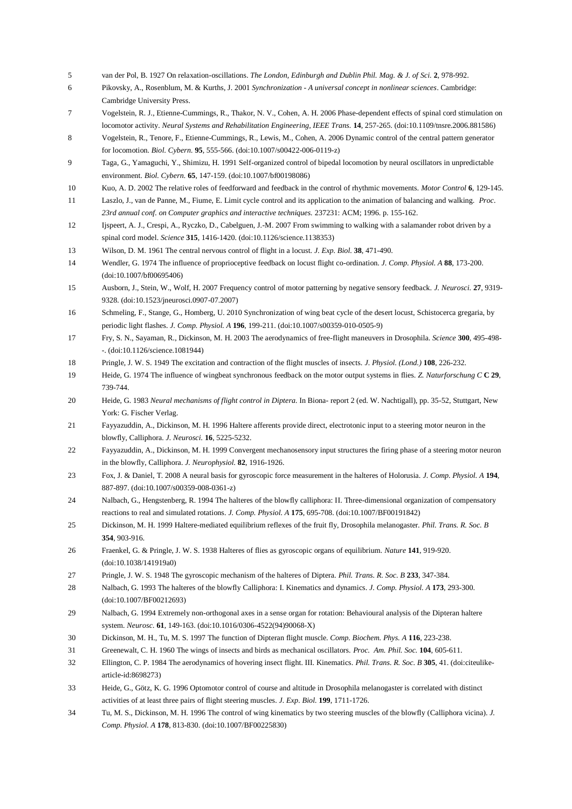- 5 van der Pol, B. 1927 On relaxation-oscillations. *The London, Edinburgh and Dublin Phil. Mag. & J. of Sci.* **2**, 978-992.
- 6 Pikovsky, A., Rosenblum, M. & Kurths, J. 2001 *Synchronization - A universal concept in nonlinear sciences*. Cambridge: Cambridge University Press.
- 7 Vogelstein, R. J., Etienne-Cummings, R., Thakor, N. V., Cohen, A. H. 2006 Phase-dependent effects of spinal cord stimulation on locomotor activity. *Neural Systems and Rehabilitation Engineering, IEEE Trans.* **14**, 257-265. (doi:10.1109/tnsre.2006.881586)
- 8 Vogelstein, R., Tenore, F., Etienne-Cummings, R., Lewis, M., Cohen, A. 2006 Dynamic control of the central pattern generator for locomotion. *Biol. Cybern.* **95**, 555-566. (doi:10.1007/s00422-006-0119-z)
- 9 Taga, G., Yamaguchi, Y., Shimizu, H. 1991 Self-organized control of bipedal locomotion by neural oscillators in unpredictable environment. *Biol. Cybern.* **65**, 147-159. (doi:10.1007/bf00198086)
- 10 Kuo, A. D. 2002 The relative roles of feedforward and feedback in the control of rhythmic movements. *Motor Control* **6**, 129-145.
- 11 Laszlo, J., van de Panne, M., Fiume, E. Limit cycle control and its application to the animation of balancing and walking. *Proc. 23rd annual conf. on Computer graphics and interactive techniques.* 237231: ACM; 1996. p. 155-162.
- 12 Ijspeert, A. J., Crespi, A., Ryczko, D., Cabelguen, J.-M. 2007 From swimming to walking with a salamander robot driven by a spinal cord model. *Science* **315**, 1416-1420. (doi:10.1126/science.1138353)
- 13 Wilson, D. M. 1961 The central nervous control of flight in a locust. *J. Exp. Biol.* **38**, 471-490.
- 14 Wendler, G. 1974 The influence of proprioceptive feedback on locust flight co-ordination. *J. Comp. Physiol. A* **88**, 173-200. (doi:10.1007/bf00695406)
- 15 Ausborn, J., Stein, W., Wolf, H. 2007 Frequency control of motor patterning by negative sensory feedback. *J. Neurosci.* **27**, 9319- 9328. (doi:10.1523/jneurosci.0907-07.2007)
- 16 Schmeling, F., Stange, G., Homberg, U. 2010 Synchronization of wing beat cycle of the desert locust, Schistocerca gregaria, by periodic light flashes. *J. Comp. Physiol. A* **196**, 199-211. (doi:10.1007/s00359-010-0505-9)
- 17 Fry, S. N., Sayaman, R., Dickinson, M. H. 2003 The aerodynamics of free-flight maneuvers in Drosophila. *Science* **300**, 495-498- -. (doi:10.1126/science.1081944)
- 18 Pringle, J. W. S. 1949 The excitation and contraction of the flight muscles of insects. *J. Physiol. (Lond.)* **108**, 226-232.
- 19 Heide, G. 1974 The influence of wingbeat synchronous feedback on the motor output systems in flies. *Z. Naturforschung C* **C 29**, 739-744.
- 20 Heide, G. 1983 *Neural mechanisms of flight control in Diptera.* In Biona- report 2 (ed. W. Nachtigall), pp. 35-52, Stuttgart, New York: G. Fischer Verlag.
- 21 Fayyazuddin, A., Dickinson, M. H. 1996 Haltere afferents provide direct, electrotonic input to a steering motor neuron in the blowfly, Calliphora. *J. Neurosci.* **16**, 5225-5232.
- 22 Fayyazuddin, A., Dickinson, M. H. 1999 Convergent mechanosensory input structures the firing phase of a steering motor neuron in the blowfly, Calliphora. *J. Neurophysiol.* **82**, 1916-1926.
- 23 Fox, J. & Daniel, T. 2008 A neural basis for gyroscopic force measurement in the halteres of Holorusia. *J. Comp. Physiol. A* **194**, 887-897. (doi:10.1007/s00359-008-0361-z)
- 24 Nalbach, G., Hengstenberg, R. 1994 The halteres of the blowfly calliphora: II. Three-dimensional organization of compensatory reactions to real and simulated rotations. *J. Comp. Physiol. A* **175**, 695-708. (doi:10.1007/BF00191842)
- 25 Dickinson, M. H. 1999 Haltere-mediated equilibrium reflexes of the fruit fly, Drosophila melanogaster. *Phil. Trans. R. Soc. B* **354**, 903-916.
- 26 Fraenkel, G. & Pringle, J. W. S. 1938 Halteres of flies as gyroscopic organs of equilibrium. *Nature* **141**, 919-920. (doi:10.1038/141919a0)
- 27 Pringle, J. W. S. 1948 The gyroscopic mechanism of the halteres of Diptera. *Phil. Trans. R. Soc. B* **233**, 347-384.
- 28 Nalbach, G. 1993 The halteres of the blowfly Calliphora: I. Kinematics and dynamics. *J. Comp. Physiol. A* **173**, 293-300. (doi:10.1007/BF00212693)
- 29 Nalbach, G. 1994 Extremely non-orthogonal axes in a sense organ for rotation: Behavioural analysis of the Dipteran haltere system. *Neurosc.* **61**, 149-163. (doi:10.1016/0306-4522(94)90068-X)
- 30 Dickinson, M. H., Tu, M. S. 1997 The function of Dipteran flight muscle. *Comp. Biochem. Phys. A* **116**, 223-238.
- 31 Greenewalt, C. H. 1960 The wings of insects and birds as mechanical oscillators. *Proc. Am. Phil. Soc.* **104**, 605-611.
- 32 Ellington, C. P. 1984 The aerodynamics of hovering insect flight. III. Kinematics. *Phil. Trans. R. Soc. B* **305**, 41. (doi:citeulikearticle-id:8698273)
- 33 Heide, G., Götz, K. G. 1996 Optomotor control of course and altitude in Drosophila melanogaster is correlated with distinct activities of at least three pairs of flight steering muscles. *J. Exp. Biol.* **199**, 1711-1726.
- 34 Tu, M. S., Dickinson, M. H. 1996 The control of wing kinematics by two steering muscles of the blowfly (Calliphora vicina). *J. Comp. Physiol. A* **178**, 813-830. (doi:10.1007/BF00225830)